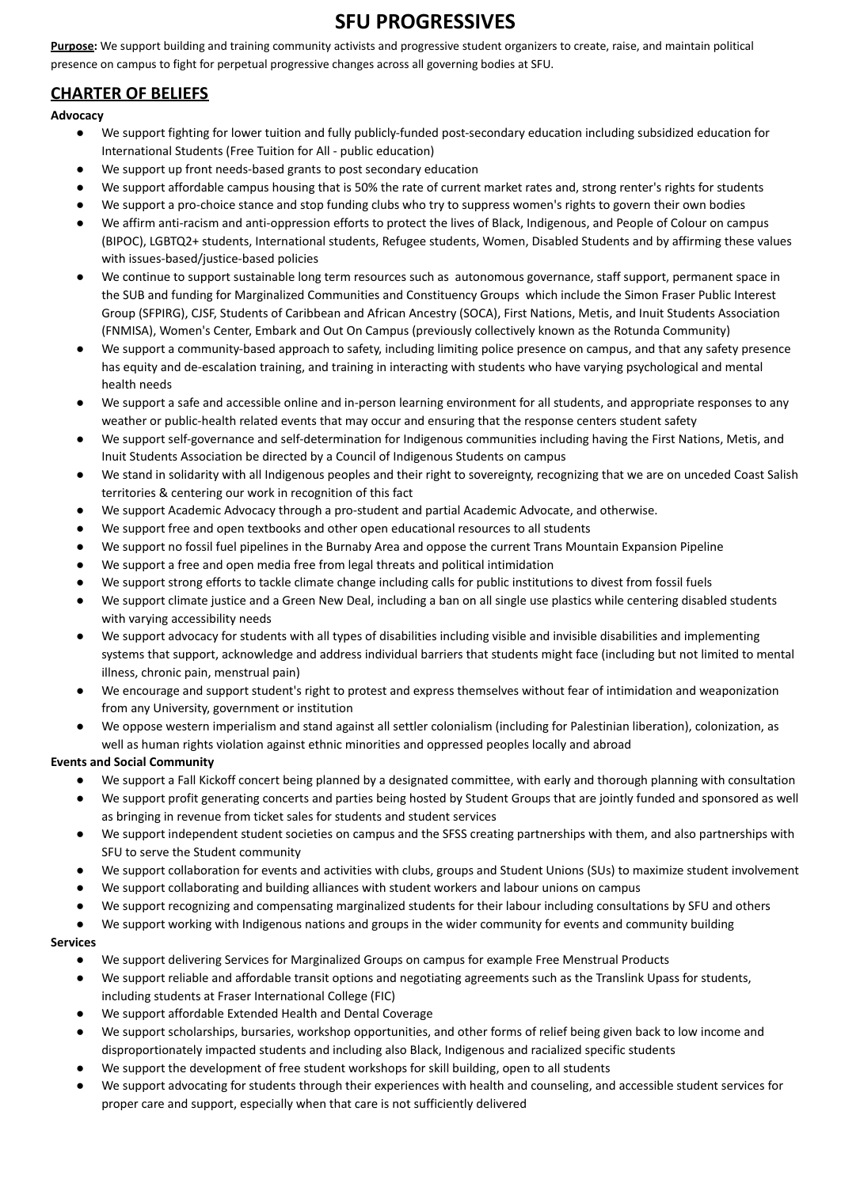# **SFU PROGRESSIVES**

**Purpose:** We support building and training community activists and progressive student organizers to create, raise, and maintain political presence on campus to fight for perpetual progressive changes across all governing bodies at SFU.

## **CHARTER OF BELIEFS**

**Advocacy**

- We support fighting for lower tuition and fully publicly-funded post-secondary education including subsidized education for International Students (Free Tuition for All - public education)
- We support up front needs-based grants to post secondary education
- We support affordable campus housing that is 50% the rate of current market rates and, strong renter's rights for students
- We support a pro-choice stance and stop funding clubs who try to suppress women's rights to govern their own bodies
- We affirm anti-racism and anti-oppression efforts to protect the lives of Black, Indigenous, and People of Colour on campus (BIPOC), LGBTQ2+ students, International students, Refugee students, Women, Disabled Students and by affirming these values with issues-based/justice-based policies
- We continue to support sustainable long term resources such as autonomous governance, staff support, permanent space in the SUB and funding for Marginalized Communities and Constituency Groups which include the Simon Fraser Public Interest Group (SFPIRG), CJSF, Students of Caribbean and African Ancestry (SOCA), First Nations, Metis, and Inuit Students Association (FNMISA), Women's Center, Embark and Out On Campus (previously collectively known as the Rotunda Community)
- We support a community-based approach to safety, including limiting police presence on campus, and that any safety presence has equity and de-escalation training, and training in interacting with students who have varying psychological and mental health needs
- We support a safe and accessible online and in-person learning environment for all students, and appropriate responses to any weather or public-health related events that may occur and ensuring that the response centers student safety
- We support self-governance and self-determination for Indigenous communities including having the First Nations, Metis, and Inuit Students Association be directed by a Council of Indigenous Students on campus
- We stand in solidarity with all Indigenous peoples and their right to sovereignty, recognizing that we are on unceded Coast Salish territories & centering our work in recognition of this fact
- We support Academic Advocacy through a pro-student and partial Academic Advocate, and otherwise.
- We support free and open textbooks and other open educational resources to all students
- We support no fossil fuel pipelines in the Burnaby Area and oppose the current Trans Mountain Expansion Pipeline
- We support a free and open media free from legal threats and political intimidation
- We support strong efforts to tackle climate change including calls for public institutions to divest from fossil fuels
- We support climate justice and a Green New Deal, including a ban on all single use plastics while centering disabled students with varying accessibility needs
- We support advocacy for students with all types of disabilities including visible and invisible disabilities and implementing systems that support, acknowledge and address individual barriers that students might face (including but not limited to mental illness, chronic pain, menstrual pain)
- We encourage and support student's right to protest and express themselves without fear of intimidation and weaponization from any University, government or institution
- We oppose western imperialism and stand against all settler colonialism (including for Palestinian liberation), colonization, as well as human rights violation against ethnic minorities and oppressed peoples locally and abroad

### **Events and Social Community**

- We support a Fall Kickoff concert being planned by a designated committee, with early and thorough planning with consultation
- We support profit generating concerts and parties being hosted by Student Groups that are jointly funded and sponsored as well as bringing in revenue from ticket sales for students and student services
- We support independent student societies on campus and the SFSS creating partnerships with them, and also partnerships with SFU to serve the Student community
- We support collaboration for events and activities with clubs, groups and Student Unions (SUs) to maximize student involvement
- We support collaborating and building alliances with student workers and labour unions on campus
- We support recognizing and compensating marginalized students for their labour including consultations by SFU and others
- We support working with Indigenous nations and groups in the wider community for events and community building

### **Services**

- We support delivering Services for Marginalized Groups on campus for example Free Menstrual Products
- We support reliable and affordable transit options and negotiating agreements such as the Translink Upass for students, including students at Fraser International College (FIC)
- We support affordable Extended Health and Dental Coverage
- We support scholarships, bursaries, workshop opportunities, and other forms of relief being given back to low income and disproportionately impacted students and including also Black, Indigenous and racialized specific students
- We support the development of free student workshops for skill building, open to all students
- We support advocating for students through their experiences with health and counseling, and accessible student services for proper care and support, especially when that care is not sufficiently delivered